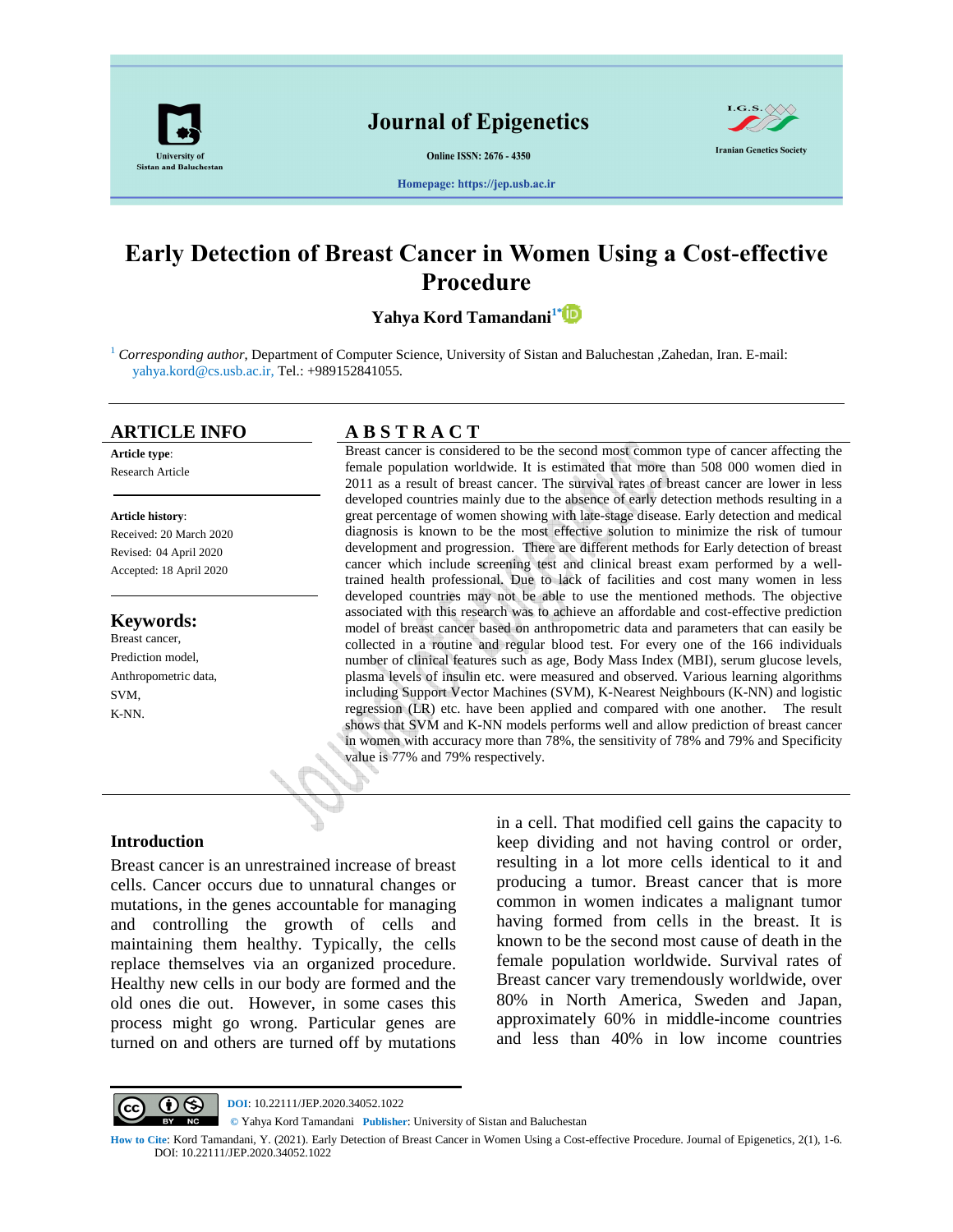

**Online ISSN: 2676 - 4350** 



Homepage: https://jep.usb.ac.ir

# **Early Detection of Breast Cancer in Women Using a Cost-effective Procedure**

**Yahya Kord Tamandani1\***

<sup>1</sup> *Corresponding author*, Department of Computer Science, University of Sistan and Baluchestan ,Zahedan, Iran. E-mail: yahya.kord@cs.usb.ac.ir, Tel.: +989152841055.

**Article type**: Research Article

#### **Article history**:

Received: 20 March 2020 Revised: 04 April 2020 Accepted: 18 April 2020

### **Keywords:**

Breast cancer, Prediction model, Anthropometric data, SVM, K-NN.

## **ARTICLE INFO A B S T R A C T**

Breast cancer is considered to be the second most common type of cancer affecting the female population worldwide. It is estimated that more than 508 000 women died in 2011 as a result of breast cancer. The survival rates of breast cancer are lower in less developed countries mainly due to the absence of early detection methods resulting in a great percentage of women showing with late-stage disease. Early detection and medical diagnosis is known to be the most effective solution to minimize the risk of tumour development and progression. There are different methods for Early detection of breast cancer which include screening test and clinical breast exam performed by a welltrained health professional. Due to lack of facilities and cost many women in less developed countries may not be able to use the mentioned methods. The objective associated with this research was to achieve an affordable and cost-effective prediction model of breast cancer based on anthropometric data and parameters that can easily be collected in a routine and regular blood test. For every one of the 166 individuals number of clinical features such as age, Body Mass Index (MBI), serum glucose levels, plasma levels of insulin etc. were measured and observed. Various learning algorithms including Support Vector Machines (SVM), K-Nearest Neighbours (K-NN) and logistic regression (LR) etc. have been applied and compared with one another. The result shows that SVM and K-NN models performs well and allow prediction of breast cancer in women with accuracy more than 78%, the sensitivity of 78% and 79% and Specificity value is 77% and 79% respectively.

#### **Introduction**

Breast cancer is an unrestrained increase of breast cells. Cancer occurs due to unnatural changes or mutations, in the genes accountable for managing and controlling the growth of cells and maintaining them healthy. Typically, the cells replace themselves via an organized procedure. Healthy new cells in our body are formed and the old ones die out. However, in some cases this process might go wrong. Particular genes are turned on and others are turned off by mutations in a cell. That modified cell gains the capacity to keep dividing and not having control or order, resulting in a lot more cells identical to it and producing a tumor. Breast cancer that is more common in women indicates a malignant tumor having formed from cells in the breast. It is known to be the second most cause of death in the female population worldwide. Survival rates of Breast cancer vary tremendously worldwide, over 80% in North America, Sweden and Japan, approximately 60% in middle-income countries and less than 40% in low income countries



**CC D DOI**: 10.22111/JEP.2020.34052.1022

**©** Yahya Kord Tamandani **Publisher**: University of Sistan and Baluchestan

**How to Cite**: Kord Tamandani, Y. (2021). Early Detection of Breast Cancer in Women Using a Cost-effective Procedure. Journal of Epigenetics, 2(1), 1-6. DOI: 10.22111/JEP.2020.34052.1022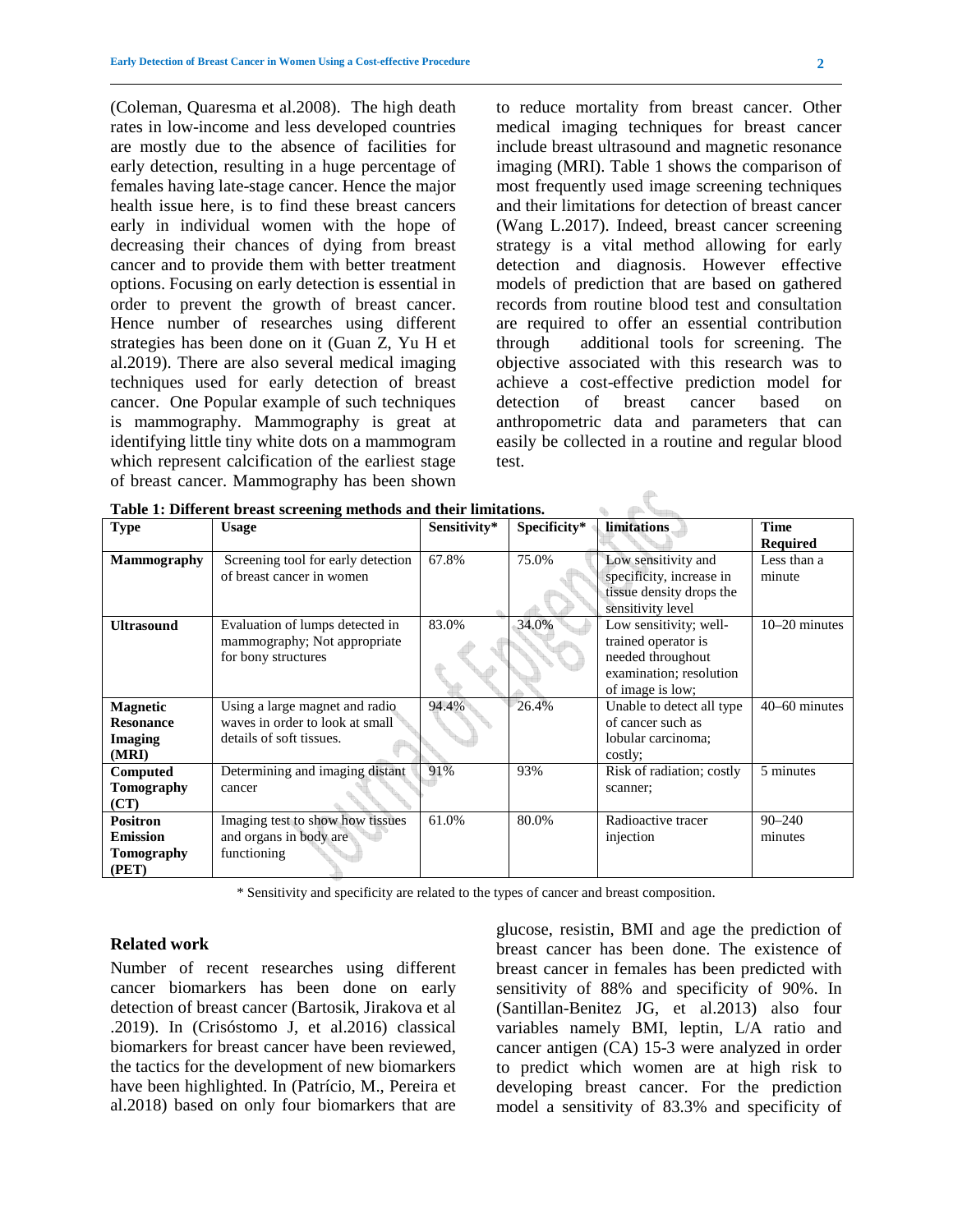(Coleman, Quaresma et al.2008). The high death rates in low-income and less developed countries are mostly due to the absence of facilities for early detection, resulting in a huge percentage of females having late-stage cancer. Hence the major health issue here, is to find these breast cancers early in individual women with the hope of decreasing their chances of dying from breast cancer and to provide them with better treatment options. Focusing on early detection is essential in order to prevent the growth of breast cancer. Hence number of researches using different strategies has been done on it (Guan Z, Yu H et al.2019). There are also several medical imaging techniques used for early detection of breast cancer. One Popular example of such techniques is mammography. Mammography is great at identifying little tiny white dots on a mammogram which represent calcification of the earliest stage of breast cancer. Mammography has been shown to reduce mortality from breast cancer. Other medical imaging techniques for breast cancer include breast ultrasound and magnetic resonance imaging (MRI). Table 1 shows the comparison of most frequently used image screening techniques and their limitations for detection of breast cancer (Wang L.2017). Indeed, breast cancer screening strategy is a vital method allowing for early detection and diagnosis. However effective models of prediction that are based on gathered records from routine blood test and consultation are required to offer an essential contribution through additional tools for screening. The objective associated with this research was to achieve a cost-effective prediction model for detection of breast cancer based on anthropometric data and parameters that can easily be collected in a routine and regular blood test.

 $\mathcal{R}$ 

| Table 1. Duret ent breast servening includus and their immations. |                                    |              |              |                           |                 |  |
|-------------------------------------------------------------------|------------------------------------|--------------|--------------|---------------------------|-----------------|--|
| <b>Type</b>                                                       | <b>Usage</b>                       | Sensitivity* | Specificity* | limitations               | <b>Time</b>     |  |
|                                                                   |                                    |              |              |                           | <b>Required</b> |  |
| <b>Mammography</b>                                                | Screening tool for early detection | 67.8%        | 75.0%        | Low sensitivity and       | Less than a     |  |
|                                                                   | of breast cancer in women          |              |              | specificity, increase in  | minute          |  |
|                                                                   |                                    |              |              | tissue density drops the  |                 |  |
|                                                                   |                                    |              |              | sensitivity level         |                 |  |
| <b>Ultrasound</b>                                                 | Evaluation of lumps detected in    | 83.0%        | 34.0%        | Low sensitivity; well-    | $10-20$ minutes |  |
|                                                                   | mammography; Not appropriate       |              |              | trained operator is       |                 |  |
|                                                                   | for bony structures                |              |              | needed throughout         |                 |  |
|                                                                   |                                    |              |              | examination; resolution   |                 |  |
|                                                                   |                                    |              |              | of image is low;          |                 |  |
| <b>Magnetic</b>                                                   | Using a large magnet and radio     | 94.4%        | 26.4%        | Unable to detect all type | 40–60 minutes   |  |
| <b>Resonance</b>                                                  | waves in order to look at small    |              |              | of cancer such as         |                 |  |
| <b>Imaging</b>                                                    | details of soft tissues.           |              |              | lobular carcinoma;        |                 |  |
| (MRI)                                                             |                                    |              |              | costly;                   |                 |  |
| Computed                                                          | Determining and imaging distant    | 91%          | 93%          | Risk of radiation; costly | 5 minutes       |  |
| Tomography                                                        | cancer                             |              |              | scanner;                  |                 |  |
| (CT)                                                              |                                    |              |              |                           |                 |  |
| <b>Positron</b>                                                   | Imaging test to show how tissues   | 61.0%        | 80.0%        | Radioactive tracer        | $90 - 240$      |  |
| <b>Emission</b>                                                   | and organs in body are             |              |              | injection                 | minutes         |  |
| Tomography                                                        | functioning                        |              |              |                           |                 |  |
| (PET)                                                             |                                    |              |              |                           |                 |  |

**Table 1: Different breast screening methods and their limitations.** 

\* Sensitivity and specificity are related to the types of cancer and breast composition.

#### **Related work**

Number of recent researches using different cancer biomarkers has been done on early detection of breast cancer (Bartosik, Jirakova et al .2019). In (Crisóstomo J, et al.2016) classical biomarkers for breast cancer have been reviewed, the tactics for the development of new biomarkers have been highlighted. In (Patrício, M., Pereira et al.2018) based on only four biomarkers that are glucose, resistin, BMI and age the prediction of breast cancer has been done. The existence of breast cancer in females has been predicted with sensitivity of 88% and specificity of 90%. In (Santillan-Benitez JG, et al.2013) also four variables namely BMI, leptin, L/A ratio and cancer antigen (CA) 15-3 were analyzed in order to predict which women are at high risk to developing breast cancer. For the prediction model a sensitivity of 83.3% and specificity of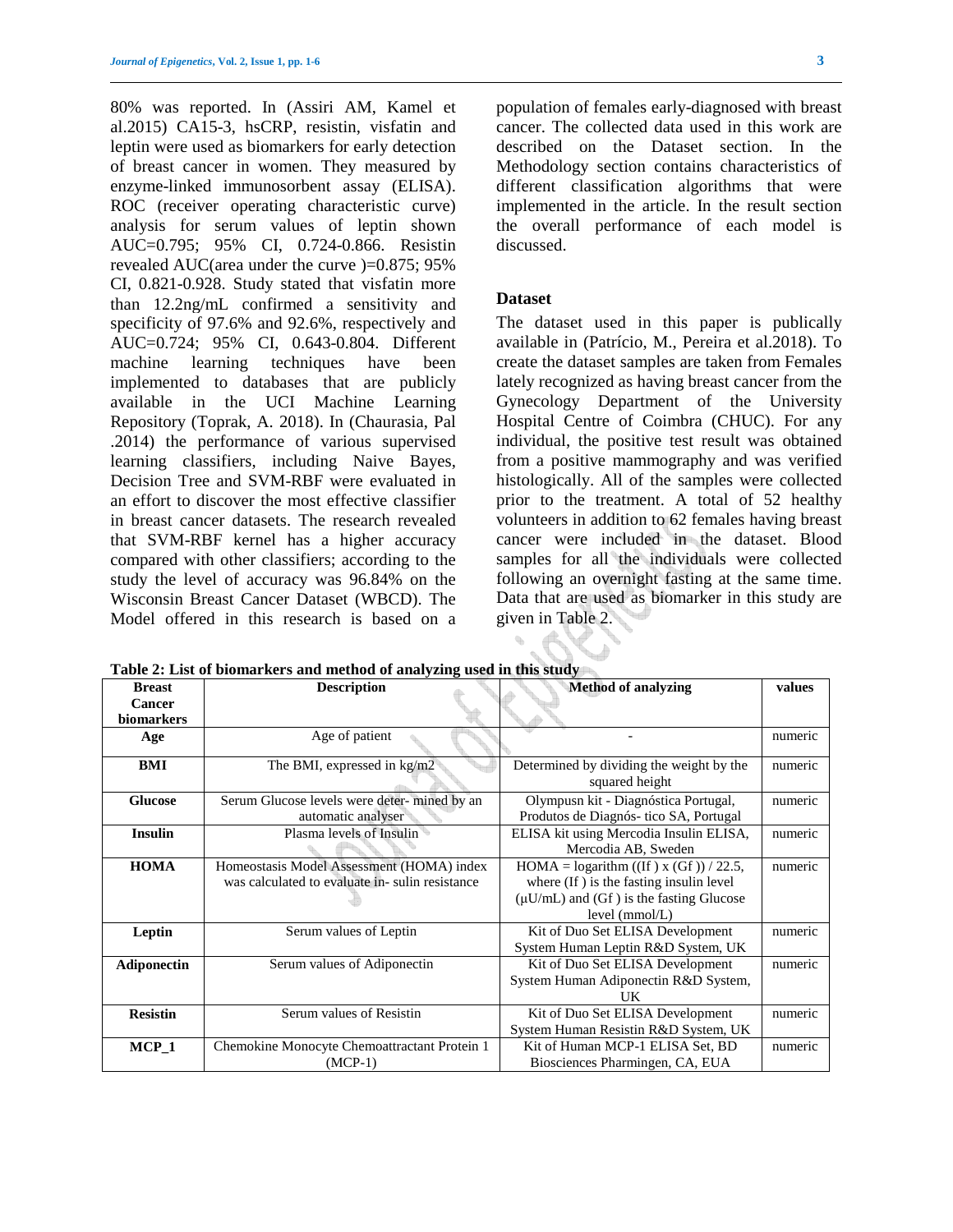80% was reported. In (Assiri AM, Kamel et al.2015) CA15-3, hsCRP, resistin, visfatin and leptin were used as biomarkers for early detection of breast cancer in women. They measured by enzyme-linked immunosorbent assay (ELISA). ROC (receiver operating characteristic curve) analysis for serum values of leptin shown AUC=0.795; 95% CI, 0.724-0.866. Resistin revealed AUC(area under the curve )=0.875; 95% CI, 0.821-0.928. Study stated that visfatin more than 12.2ng/mL confirmed a sensitivity and specificity of 97.6% and 92.6%, respectively and AUC=0.724; 95% CI, 0.643-0.804. Different machine learning techniques have been implemented to databases that are publicly available in the UCI Machine Learning Repository (Toprak, A. 2018). In (Chaurasia, Pal .2014) the performance of various supervised learning classifiers, including Naive Bayes, Decision Tree and SVM-RBF were evaluated in an effort to discover the most effective classifier in breast cancer datasets. The research revealed that SVM-RBF kernel has a higher accuracy compared with other classifiers; according to the study the level of accuracy was 96.84% on the Wisconsin Breast Cancer Dataset (WBCD). The Model offered in this research is based on a

population of females early-diagnosed with breast cancer. The collected data used in this work are described on the Dataset section. In the Methodology section contains characteristics of different classification algorithms that were implemented in the article. In the result section the overall performance of each model is discussed.

#### **Dataset**

The dataset used in this paper is publically available in (Patrício, M., Pereira et al.2018). To create the dataset samples are taken from Females lately recognized as having breast cancer from the Gynecology Department of the University Hospital Centre of Coimbra (CHUC). For any individual, the positive test result was obtained from a positive mammography and was verified histologically. All of the samples were collected prior to the treatment. A total of 52 healthy volunteers in addition to 62 females having breast cancer were included in the dataset. Blood samples for all the individuals were collected following an overnight fasting at the same time. Data that are used as biomarker in this study are given in Table 2.

**Table 2: List of biomarkers and method of analyzing used in this study** 

| <b>Breast</b>      | <b>Description</b>                             | <b>Method of analyzing</b>                     | values  |
|--------------------|------------------------------------------------|------------------------------------------------|---------|
| <b>Cancer</b>      |                                                |                                                |         |
| biomarkers         |                                                |                                                |         |
| Age                | Age of patient                                 |                                                | numeric |
|                    |                                                |                                                |         |
| BMI                | The BMI, expressed in kg/m2                    | Determined by dividing the weight by the       | numeric |
|                    |                                                | squared height                                 |         |
| <b>Glucose</b>     | Serum Glucose levels were deter-mined by an    | Olympusn kit - Diagnóstica Portugal,           | numeric |
|                    | automatic analyser                             | Produtos de Diagnós- tico SA, Portugal         |         |
| <b>Insulin</b>     | Plasma levels of Insulin                       | ELISA kit using Mercodia Insulin ELISA,        | numeric |
|                    |                                                | Mercodia AB, Sweden                            |         |
| <b>HOMA</b>        | Homeostasis Model Assessment (HOMA) index      | HOMA = logarithm ((If) x (Gf)) / 22.5,         | numeric |
|                    | was calculated to evaluate in-sulin resistance | where (If) is the fasting insulin level        |         |
|                    |                                                | $(\mu U/mL)$ and $(Gf)$ is the fasting Glucose |         |
|                    |                                                | level $(mmol/L)$                               |         |
| Leptin             | Serum values of Leptin                         | Kit of Duo Set ELISA Development               | numeric |
|                    |                                                | System Human Leptin R&D System, UK             |         |
| <b>Adiponectin</b> | Serum values of Adiponectin                    | Kit of Duo Set ELISA Development               | numeric |
|                    |                                                | System Human Adiponectin R&D System,           |         |
|                    |                                                | UK                                             |         |
| <b>Resistin</b>    | Serum values of Resistin                       | Kit of Duo Set ELISA Development               | numeric |
|                    |                                                | System Human Resistin R&D System, UK           |         |
| $MCP_1$            | Chemokine Monocyte Chemoattractant Protein 1   | Kit of Human MCP-1 ELISA Set, BD               | numeric |
|                    | $(MCP-1)$                                      | Biosciences Pharmingen, CA, EUA                |         |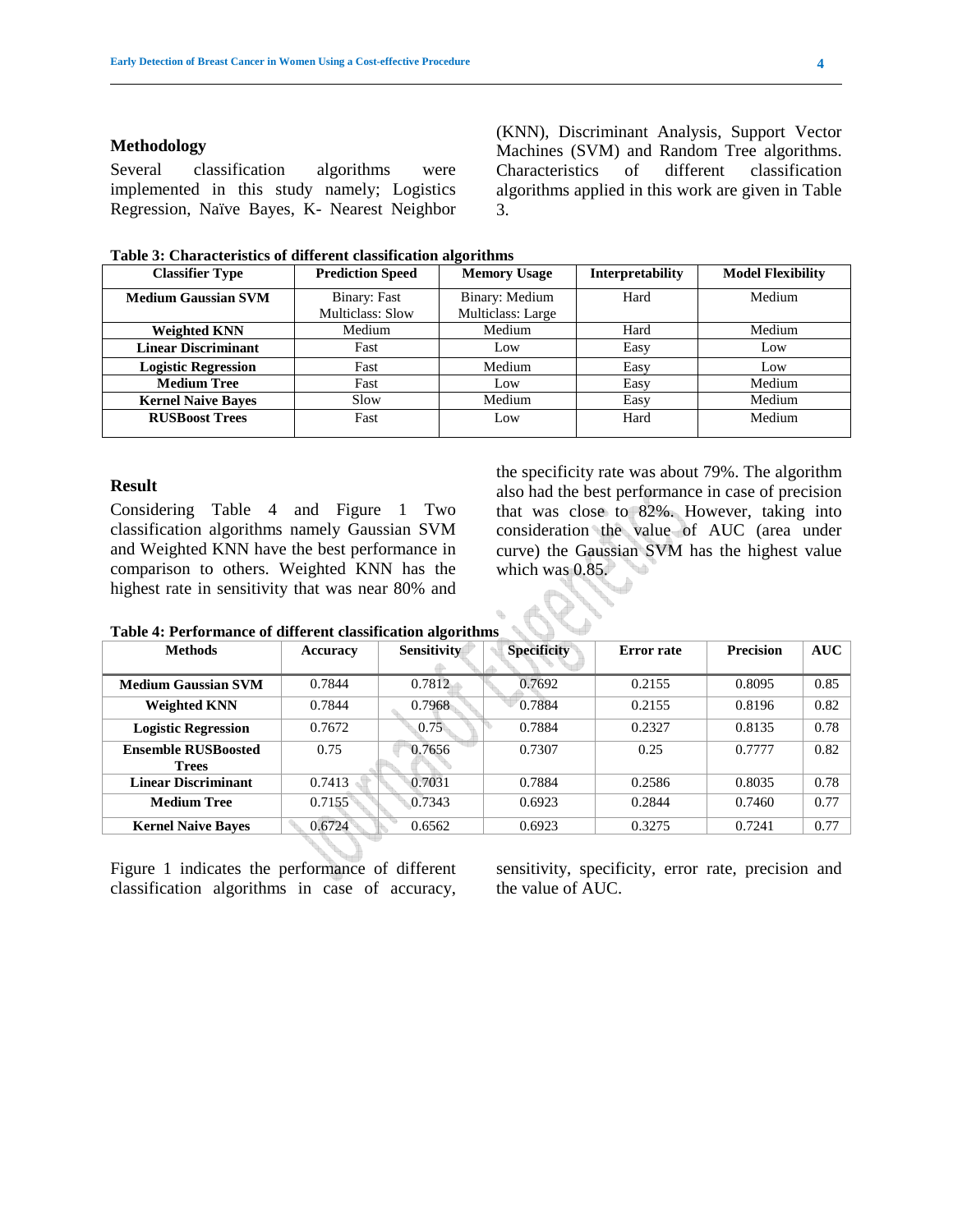#### **Methodology**

Several classification algorithms were implemented in this study namely; Logistics Regression, Naïve Bayes, K- Nearest Neighbor (KNN), Discriminant Analysis, Support Vector Machines (SVM) and Random Tree algorithms. Characteristics of different classification algorithms applied in this work are given in Table 3.

| Table 3: Characteristics of different classification algorithms |  |  |  |
|-----------------------------------------------------------------|--|--|--|
|-----------------------------------------------------------------|--|--|--|

| <b>Classifier Type</b>     | <b>Prediction Speed</b> | <b>Memory Usage</b> | <b>Interpretability</b> | <b>Model Flexibility</b> |
|----------------------------|-------------------------|---------------------|-------------------------|--------------------------|
| <b>Medium Gaussian SVM</b> | Binary: Fast            | Binary: Medium      | Hard                    | Medium                   |
|                            | Multiclass: Slow        | Multiclass: Large   |                         |                          |
| <b>Weighted KNN</b>        | Medium                  | Medium              | Hard                    | Medium                   |
| <b>Linear Discriminant</b> | Fast                    | Low                 | Easy                    | Low                      |
| <b>Logistic Regression</b> | Fast                    | Medium              | Easy                    | Low                      |
| <b>Medium Tree</b>         | Fast                    | Low                 | Easy                    | Medium                   |
| <b>Kernel Naive Baves</b>  | Slow                    | Medium              | Easy                    | Medium                   |
| <b>RUSBoost Trees</b>      | Fast                    | Low                 | Hard                    | Medium                   |
|                            |                         |                     |                         |                          |

#### **Result**

Considering Table 4 and Figure 1 Two classification algorithms namely Gaussian SVM and Weighted KNN have the best performance in comparison to others. Weighted KNN has the highest rate in sensitivity that was near 80% and the specificity rate was about 79%. The algorithm also had the best performance in case of precision that was close to 82%. However, taking into consideration the value of AUC (area under curve) the Gaussian SVM has the highest value which was 0.85.

| Tuoit II Tuitoi munto ol unittivitti vauonneuvion ul olitumio |          |                    |                    |                   |                  |      |
|---------------------------------------------------------------|----------|--------------------|--------------------|-------------------|------------------|------|
| <b>Methods</b>                                                | Accuracy | <b>Sensitivity</b> | <b>Specificity</b> | <b>Error</b> rate | <b>Precision</b> | AUC  |
|                                                               |          |                    |                    |                   |                  |      |
| <b>Medium Gaussian SVM</b>                                    | 0.7844   | 0.7812             | 0.7692             | 0.2155            | 0.8095           | 0.85 |
| <b>Weighted KNN</b>                                           | 0.7844   | 0.7968             | 0.7884             | 0.2155            | 0.8196           | 0.82 |
| <b>Logistic Regression</b>                                    | 0.7672   | 0.75               | 0.7884             | 0.2327            | 0.8135           | 0.78 |
| <b>Ensemble RUSBoosted</b>                                    | 0.75     | 0.7656             | 0.7307             | 0.25              | 0.7777           | 0.82 |
| <b>Trees</b>                                                  |          |                    |                    |                   |                  |      |
| <b>Linear Discriminant</b>                                    | 0.7413   | 0.7031             | 0.7884             | 0.2586            | 0.8035           | 0.78 |
| <b>Medium Tree</b>                                            | 0.7155   | 0.7343             | 0.6923             | 0.2844            | 0.7460           | 0.77 |
| <b>Kernel Naive Baves</b>                                     | 0.6724   | 0.6562             | 0.6923             | 0.3275            | 0.7241           | 0.77 |

Figure 1 indicates the performance of different classification algorithms in case of accuracy, sensitivity, specificity, error rate, precision and the value of AUC.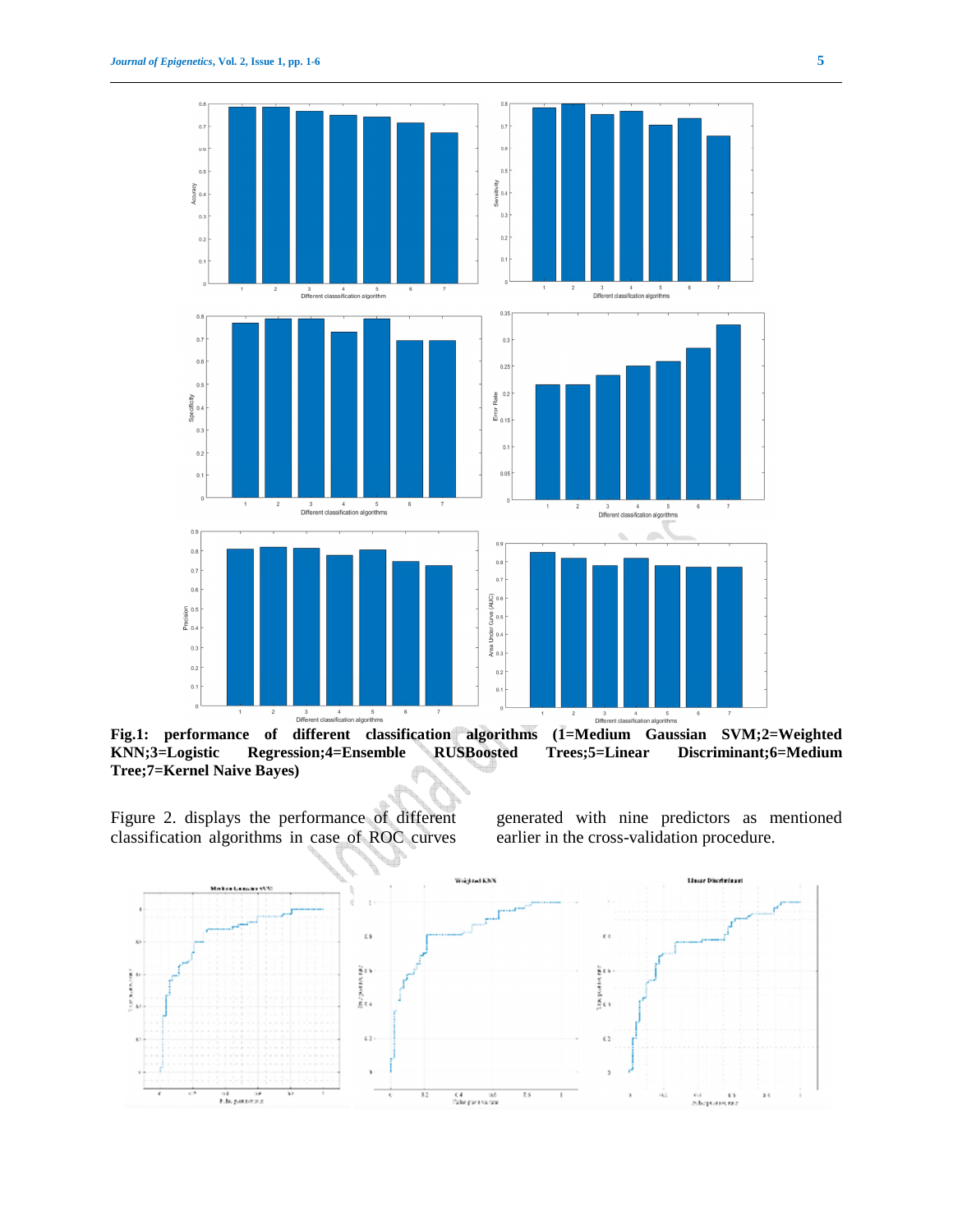

**KNN;3=Logistic Regression;4=Ensemble RUSBoosted Trees;5=Linear Discriminant;6=Medium Tree;7=Kernel Naive Bayes)** 

Figure 2. displays the performance of different classification algorithms in case of ROC curves

generated with nine predictors as mentioned earlier in the cross-validation procedure.